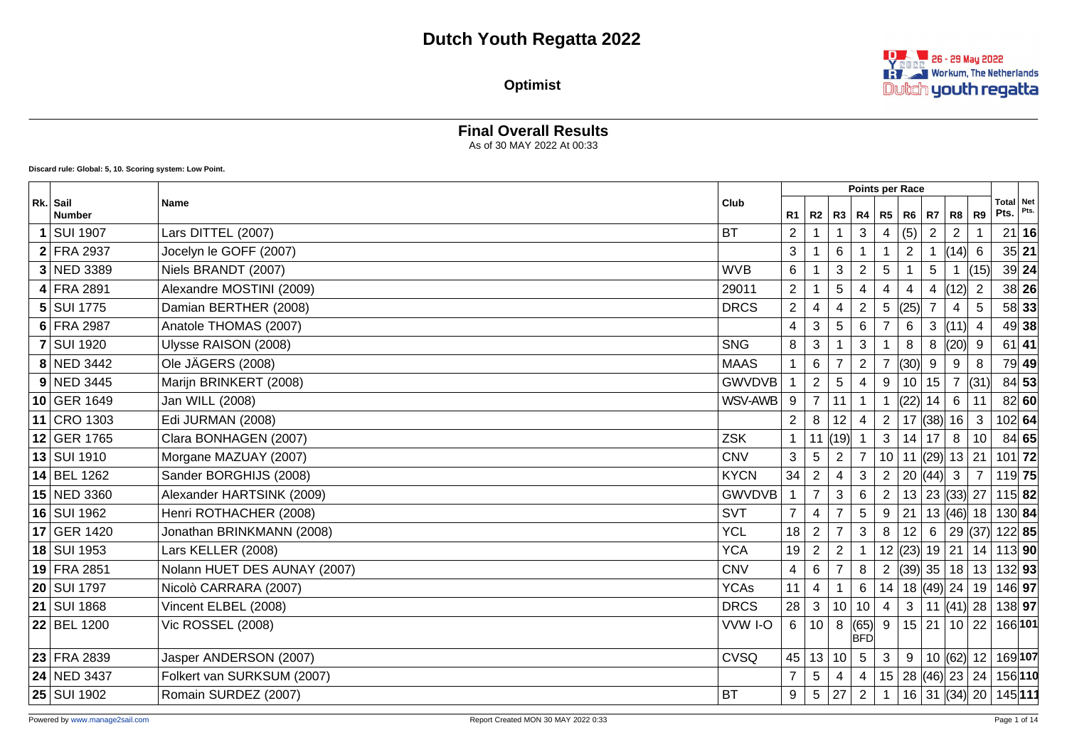#### **Optimist**

**Final Overall Results**



#### As of 30 MAY 2022 At 00:33 **Discard rule: Global: 5, 10. Scoring system: Low Point. Points per Race Rk. Sail Number Name Club R1 R2 R3 R4 R5 R6 R7 R8 R9 Total Pts. Net Pts. 1** SUI 1907 Lars DITTEL (2007) BT 2 1 1 3 4 (5) 2 2 1 21 **16 2** FRA 2937 Jocelyn le GOFF (2007) 3 1 6 1 1 2 1 (14) 6 35 **21 3** NED 3389 Niels BRANDT (2007) WVB 6 1 3 2 5 1 5 1 (15) 39 **24 4** FRA 2891 Alexandre MOSTINI (2009) 29011 2 1 5 4 4 4 4  $(12)$  2 38 26 **5** SUI 1775 Damian BERTHER (2008) DRCS 2 4 4 2 5 (25) 7 4 5 58 **33 6** FRA 2987 Anatole THOMAS (2007) **Anatole THOMAS (2007) Analysis 2007 A**  $\begin{bmatrix} 4 & 3 & 5 & 6 & 7 & 6 & 3 & (11) & 4 & 49 \end{bmatrix}$  38 **7** SUI 1920 Ulysse RAISON (2008) COOS COOS SUITE A SUITE AND RELEASE STATES SNG 8 3 1 3 1 8 8 (20) 9 61 **41 8** NED 3442 Ole JÄGERS (2008) MAAS 1 6 7 2 7 (30) 9 9 8 79 **49 9** NED 3445 Marijn BRINKERT (2008) Marijn BRINKERT (2008) Marijn BRINKERT (2008) **10** GER 1649 Jan WILL (2008) WSV-AWB 9 7 11 1 1 (22) 14 6 11 82 **60 11** CRO 1303 Edi JURMAN (2008) 2 8 12 4 2 17 (38) 16 3 102 **64 12** GER 1765 Clara BONHAGEN (2007) ZSK 1 11 (19) 1 3 14 17 8 10 84 **65 13** SUI 1910 Morgane MAZUAY (2007) CNV 3 5 2 7 10 11 (29) 13 21 101 **72 14** BEL 1262 Sander BORGHIJS (2008) KYCN 34 2 4 3 2 20 (44) 3 7 119 **75 15** NED 3360 Alexander HARTSINK (2009) GWVDVB 1 7 3 6 2 13 23 (33) 27 115 **82 16** SUI 1962 Henri ROTHACHER (2008) **SUI 1962** SVT 7 4 7 5 9 21 13 (46) 18 130 **84 17** GER 1420 Jonathan BRINKMANN (2008) 35 **18** SUI 1953 Lars KELLER (2008) YCA 19 2 2 1 12 (23) 19 21 14 113 **90 19** FRA 2851 Nolann HUET DES AUNAY (2007) CNV 4 6 7 8 2 (39) 35 18 13 132 **93 20** SUI 1797 Nicolò CARRARA (2007) YCAs 11 4 1 6 14 18 (49) 24 19 146 **97 21** SUI 1868 Vincent ELBEL (2008) DRCS 28 3 10 10 4 3 11 (41) 28 138 **97 22** BEL 1200 Vic ROSSEL (2008) VOIC ROSSEL (2008) làFn 9 15 21 10 22 166 **101 23** FRA 2839 Jasper ANDERSON (2007) Jasper ANDERSON (2007) Jasper Series (2007)  $\frac{1}{2}$   $\frac{1}{2}$   $\frac{1}{2}$   $\frac{1}{2}$   $\frac{1}{2}$   $\frac{1}{2}$   $\frac{1}{2}$   $\frac{1}{2}$   $\frac{1}{2}$   $\frac{1}{2}$   $\frac{1}{2}$   $\frac{1}{2}$   $\frac{1}{2}$   $\frac{1}{2}$  **24** NED 3437 Folkert van SURKSUM (2007) 7 5 4 4 15 28 (46) 23 24 156 **110 25** SUI 1902 Romain SURDEZ (2007) BT 9 5 27 2 1 16 31 (34) 20 145 **111**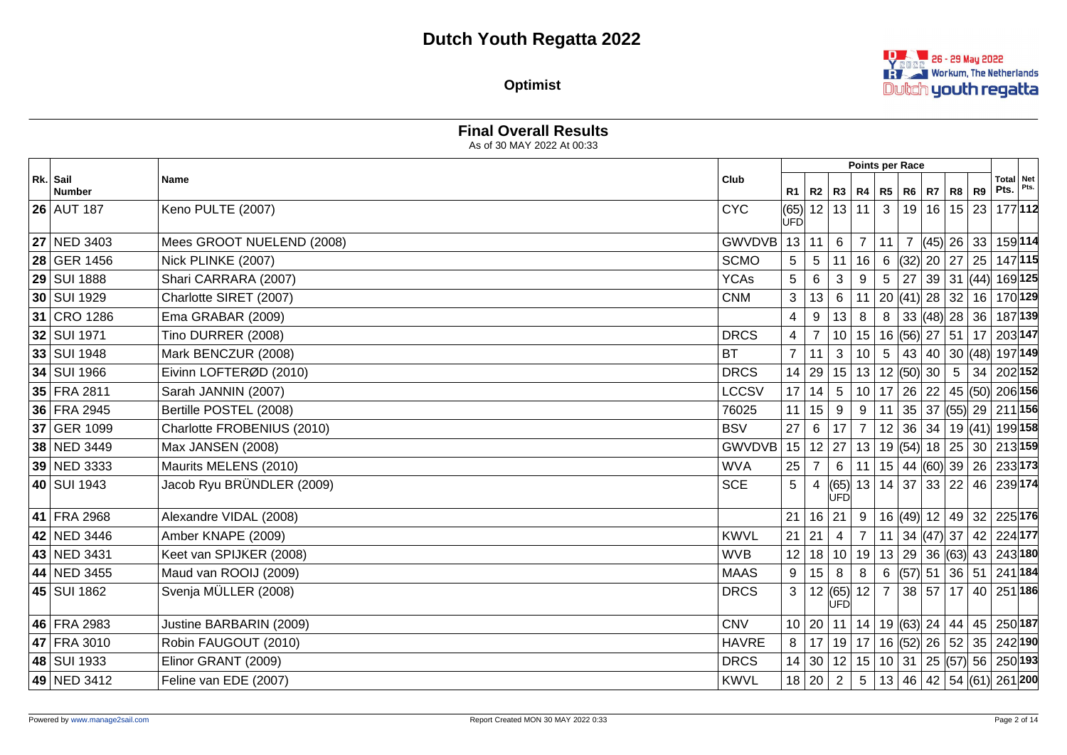

**Optimist**

|                           |                            | As of 30 MAY 2022 At 00:33 |                |                |                    |                   |              |                                                                |             |                |              |                                                         |         |
|---------------------------|----------------------------|----------------------------|----------------|----------------|--------------------|-------------------|--------------|----------------------------------------------------------------|-------------|----------------|--------------|---------------------------------------------------------|---------|
|                           |                            |                            |                |                |                    |                   |              | <b>Points per Race</b>                                         |             |                |              |                                                         |         |
| Rk. Sail<br><b>Number</b> | <b>Name</b>                | Club                       | R1             | R2             |                    | R3   R4   R5   R6 |              |                                                                | R7 R8 R9    |                |              | Total Net<br>Pts.                                       | Pts.    |
| <b>26 AUT 187</b>         | Keno PULTE (2007)          | <b>CYC</b>                 | <b>UFD</b>     | (65) 12        | 13                 | 11                | $\mathbf{3}$ |                                                                | 19 16 15 23 |                |              |                                                         | 177112  |
| <b>27 NED 3403</b>        | Mees GROOT NUELEND (2008)  | GWVDVB                     |                | 13 11          | 6                  | $\overline{7}$    | 11           | $\overline{7}$                                                 |             |                | $(45)$ 26 33 |                                                         | 159 114 |
| 28 GER 1456               | Nick PLINKE (2007)         | <b>SCMO</b>                | $\overline{5}$ | 5              | 11                 | 16                | 6            | $\left  \frac{32}{20} \right  20 \left  27 \right  25 \right $ |             |                |              |                                                         | 147 115 |
| 29 SUI 1888               | Shari CARRARA (2007)       | <b>YCAs</b>                | 5              | 6              | 3                  | 9                 | 5            | 27                                                             |             |                | 39 31 (44)   | 169 125                                                 |         |
| 30 SUI 1929               | Charlotte SIRET (2007)     | <b>CNM</b>                 | 3              | 13             | $\,6\,$            | 11                |              | 20 (41)  28   32   16                                          |             |                |              | 170 129                                                 |         |
| 31 CRO 1286               | Ema GRABAR (2009)          |                            | 4              | 9              | 13                 | 8                 |              | $8 \mid 33 \mid (48) \mid 28 \mid 36 \mid$                     |             |                |              | 187 139                                                 |         |
| 32 SUI 1971               | Tino DURRER (2008)         | <b>DRCS</b>                | $\overline{4}$ | $\overline{7}$ | 10                 |                   |              | $15 16 $ (56) 27 51 17                                         |             |                |              | 203 147                                                 |         |
| 33 SUI 1948               | Mark BENCZUR (2008)        | <b>BT</b>                  | $\overline{7}$ | 11             | $\mathbf{3}$       | 10 <sup>1</sup>   |              |                                                                |             |                |              | 5   43   40   30   (48)   197   149                     |         |
| 34 SUI 1966               | Eivinn LOFTERØD (2010)     | <b>DRCS</b>                | 14             | 29             | 15                 |                   |              | 13   12   (50)   30                                            |             | 5 <sub>5</sub> |              | 34 202 152                                              |         |
| 35 FRA 2811               | Sarah JANNIN (2007)        | <b>LCCSV</b>               |                | 17 14          | $5\phantom{.0}$    |                   |              |                                                                |             |                |              | 10 17 26 22 45 50 206 156                               |         |
| 36 FRA 2945               | Bertille POSTEL (2008)     | 76025                      | 11             | 15             | 9                  | 9                 |              |                                                                |             |                |              | 11 35 37 (55) 29 211 156                                |         |
| 37 GER 1099               | Charlotte FROBENIUS (2010) | <b>BSV</b>                 | 27             | 6              | 17                 | $\overline{7}$    |              |                                                                |             |                |              | 12 36 34 19 (41) 199 158                                |         |
| 38 NED 3449               | Max JANSEN (2008)          | <b>GWVDVB</b>              |                | 15 12          | 27                 |                   |              |                                                                |             |                |              | $13 19 $ (54) 18 25 30 213 159                          |         |
| 39 NED 3333               | Maurits MELENS (2010)      | <b>WVA</b>                 | 25             | 7              | 6                  | 11                |              | $15 \mid 44 \mid (60) \mid 39 \mid 26 \mid$                    |             |                |              | 233 173                                                 |         |
| 40 SUI 1943               | Jacob Ryu BRÜNDLER (2009)  | <b>SCE</b>                 | 5              |                | (65)<br>ÙFD        |                   |              |                                                                |             |                |              | 13 14 37 33 22 46 239 174                               |         |
| 41 FRA 2968               | Alexandre VIDAL (2008)     |                            | 21             | 16             | 21                 | 9                 |              |                                                                |             |                |              | 16 (49) 12 49 32 225 176                                |         |
| 42 NED 3446               | Amber KNAPE (2009)         | <b>KWVL</b>                | 21             | 21             | $\overline{4}$     | $\overline{7}$    |              |                                                                |             |                |              | 11   34 $ (47)$ 37   42   224 177                       |         |
| 43 NED 3431               | Keet van SPIJKER (2008)    | <b>WVB</b>                 |                | 12 18          | 10                 | 19                |              |                                                                |             |                |              | 13 29 36 63 43 243 180                                  |         |
| 44 NED 3455               | Maud van ROOIJ (2009)      | <b>MAAS</b>                | 9              | 15             | 8                  | 8                 |              |                                                                |             |                |              | $6$ (57) 51 36 51 241 184                               |         |
| 45 SUI 1862               | Svenja MÜLLER (2008)       | <b>DRCS</b>                | 3              |                | $ 12 $ (65)<br>UFD | $12 \mid 7$       |              |                                                                |             |                |              | 38   57   17   40   251   186                           |         |
| 46 FRA 2983               | Justine BARBARIN (2009)    | <b>CNV</b>                 |                | 10 20          | 11                 |                   |              |                                                                |             |                |              | 14   19 (63) 24   44   45   250 187                     |         |
| 47 FRA 3010               | Robin FAUGOUT (2010)       | <b>HAVRE</b>               | 8              |                |                    |                   |              |                                                                |             |                |              | 17   19   17   16  (52)  26   52   35   242  <b>190</b> |         |
| 48 SUI 1933               | Elinor GRANT (2009)        | <b>DRCS</b>                |                | 14 30          |                    |                   |              |                                                                |             |                |              | 12   15   10   31   25   (57)   56   250   193          |         |
| 49 NED 3412               | Feline van EDE (2007)      | <b>KWVL</b>                |                | 18 20          | 2                  | 5 <sup>5</sup>    |              |                                                                |             |                |              | 13 46 42 54 61 261 200                                  |         |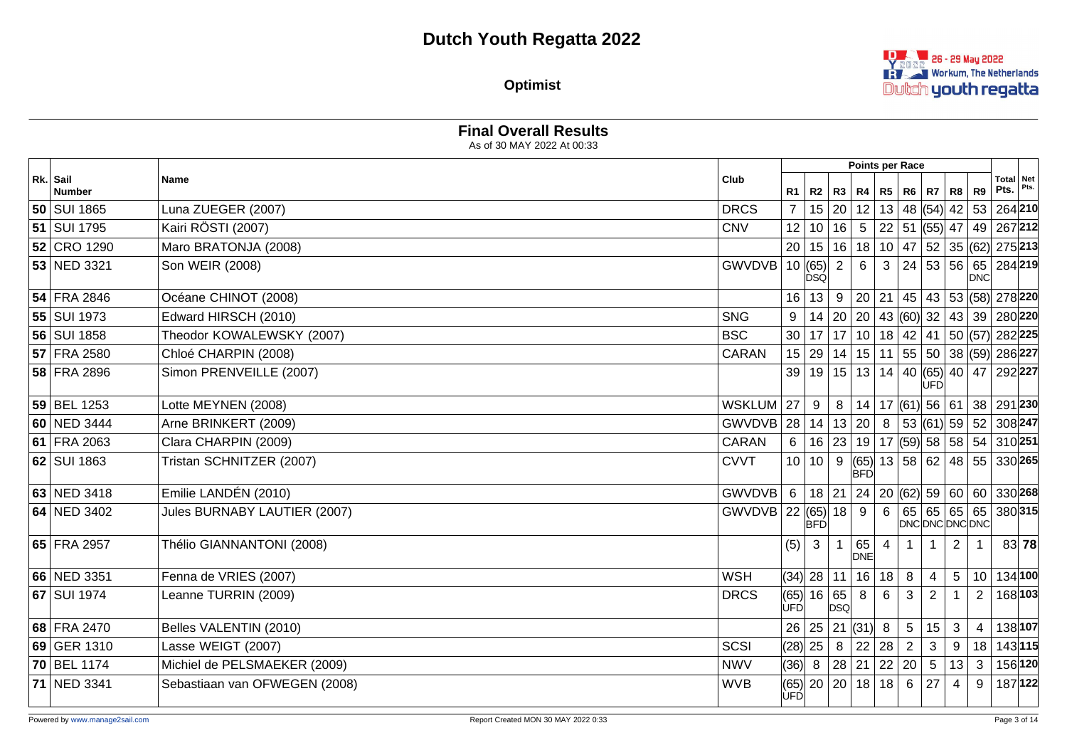**DEALER** 26 - 29 May 2022 **REVER Workum, The Netherlands** Dutch youth regatta

**Optimist**

|                    | As of 30 MAY 2022 At 00:33    |                |                    |                  |                |                  |                |                  |                |                |                                                                                  |                   |         |
|--------------------|-------------------------------|----------------|--------------------|------------------|----------------|------------------|----------------|------------------|----------------|----------------|----------------------------------------------------------------------------------|-------------------|---------|
|                    |                               |                |                    |                  |                |                  |                | Points per Race  |                |                |                                                                                  |                   |         |
| Rk. Sail<br>Number | <b>Name</b>                   | Club           | R1                 | R2               | <b>R3</b>      |                  | R4   R5   R6   |                  | R7             | R8 R9          |                                                                                  | Total Net<br>Pts. | Pts.    |
| 50 SUI 1865        | Luna ZUEGER (2007)            | <b>DRCS</b>    | $\overline{7}$     | 15               | 20             | 12               |                | 13 48 (54) 42 53 |                |                |                                                                                  | 264 210           |         |
| 51 SUI 1795        | Kairi RÖSTI (2007)            | <b>CNV</b>     | 12                 | 10               | 16             | $5\overline{)}$  |                |                  |                |                | $\mid$ 22 $\mid$ 51 $\mid$ (55) $\mid$ 47 $\mid$ 49 $\mid$ 267 $\mid$ 212 $\mid$ |                   |         |
| 52 CRO 1290        | Maro BRATONJA (2008)          |                | 20                 | 15               | 16             |                  |                |                  |                |                | 18   10   47   52   35   (62)   275   213                                        |                   |         |
| 53 NED 3321        | Son WEIR (2008)               | GWVDVB 10 (65) |                    | <b>DSQ</b>       | $\overline{2}$ | 6                | 3              |                  |                |                | 24 53 56 65 284 219 <br><b>DNC</b>                                               |                   |         |
| 54 FRA 2846        | Océane CHINOT (2008)          |                | 16                 | 13               | 9              |                  | 20 21          |                  |                |                | 45 43 53 (58) 278 220                                                            |                   |         |
| 55 SUI 1973        | Edward HIRSCH (2010)          | <b>SNG</b>     | 9                  | 14               | 20             |                  |                |                  |                |                | 20   43 $ (60)$ 32   43   39                                                     | 280 220           |         |
| 56 SUI 1858        | Theodor KOWALEWSKY (2007)     | <b>BSC</b>     | 30                 | 17               | 17             |                  |                |                  |                |                | 10   18   42   41   50   (57)   282   225                                        |                   |         |
| 57 FRA 2580        | Chloé CHARPIN (2008)          | <b>CARAN</b>   |                    | 15 29            | 14             |                  |                |                  |                |                | 15   11   55   50   38   (59)   286   227                                        |                   |         |
| 58 FRA 2896        | Simon PRENVEILLE (2007)       |                | 39                 |                  | 19 15          |                  |                |                  | UFD            |                | 13   14   40   (65)   40   47   292   227                                        |                   |         |
| 59 BEL 1253        | Lotte MEYNEN (2008)           | <b>WSKLUM</b>  | 27                 | 9                | 8              |                  |                |                  |                |                | $14$   17 (61) 56   61   38   291   230                                          |                   |         |
| 60 NED 3444        | Arne BRINKERT (2009)          | GWVDVB 28      |                    | 14               | 13             | 20               | $8\phantom{1}$ |                  |                |                | $ 53 $ (61) 59 52 308 247                                                        |                   |         |
| 61 FRA 2063        | Clara CHARPIN (2009)          | CARAN          | 6                  | 16               | 23             |                  |                |                  |                |                | $19$   17 (59) 58   58   54                                                      | 310 251           |         |
| 62 SUI 1863        | Tristan SCHNITZER (2007)      | <b>CVVT</b>    | 10 <sup>1</sup>    | 10               | 9              | <b>BFD</b>       |                |                  |                |                | $ (65) $ 13   58   62   48   55   330   265                                      |                   |         |
| 63 NED 3418        | Emilie LANDÉN (2010)          | <b>GWVDVB</b>  | $6^{\circ}$        | 18               | 21             |                  |                |                  |                |                | 24   20   (62)   59   60   60                                                    |                   | 330 268 |
| 64 NED 3402        | Jules BURNABY LAUTIER (2007)  | GWVDVB 22      |                    | (65)<br> BFD     | 18             | 9                | 6              |                  | 65 65 65 65    |                | DNC DNC DNC DNC                                                                  |                   | 380315  |
| 65 FRA 2957        | Thélio GIANNANTONI (2008)     |                | (5)                | $\mathbf{3}$     | $\mathbf{1}$   | 65<br><b>DNE</b> | $\overline{4}$ | $\overline{1}$   | $\overline{1}$ | $\overline{2}$ |                                                                                  |                   | 83 78   |
| 66 NED 3351        | Fenna de VRIES (2007)         | <b>WSH</b>     |                    | $(34)$   28   11 |                |                  | 16 18          | 8                | $\overline{4}$ | 5              | 10                                                                               |                   | 134 100 |
| 67 SUI 1974        | Leanne TURRIN (2009)          | <b>DRCS</b>    | (65)<br><b>UFD</b> | 16               | 65<br>DSQ      | 8                | 6              | 3                | $\overline{2}$ | $\mathbf{1}$   | $\overline{2}$                                                                   |                   | 168 103 |
| 68 FRA 2470        | Belles VALENTIN (2010)        |                | 26                 | 25               |                | 21  (31)  8      |                | $5\phantom{.0}$  | 15             | $\mathbf{3}$   | $\overline{4}$                                                                   |                   | 138 107 |
| 69 GER 1310        | Lasse WEIGT (2007)            | SCSI           |                    | $(28)$ 25        | 8 <sup>1</sup> |                  | 22 28          | $\overline{2}$   | $\mathbf{3}$   | $9\,$          | 18                                                                               |                   | 143 115 |
| 70 BEL 1174        | Michiel de PELSMAEKER (2009)  | <b>NWV</b>     | (36) 8             |                  | 28             |                  |                | 21   22   20     | 5 <sup>5</sup> | 13             | 3                                                                                |                   | 156 120 |
| 71 NED 3341        | Sebastiaan van OFWEGEN (2008) | <b>WVB</b>     | <b>UFD</b>         | $(65)$   20   20 |                |                  | 18 18          | $6\phantom{.}6$  | 27             | 4              | 9                                                                                |                   | 187 122 |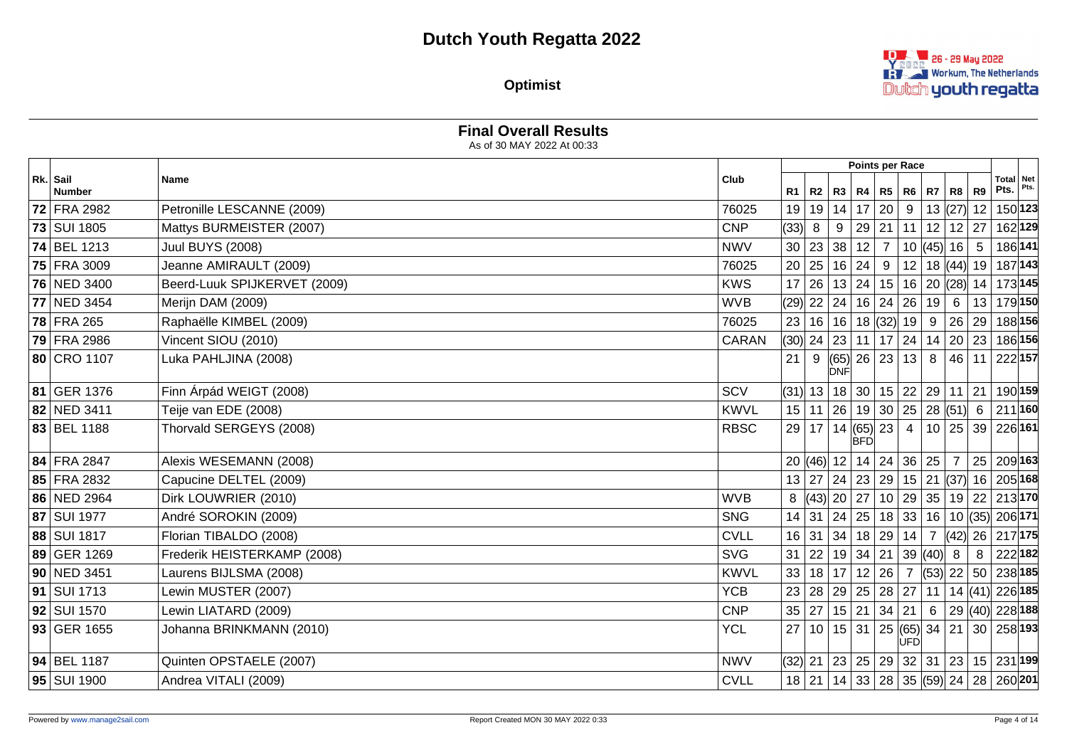**Decision 26 - 29 May 2022 REVER Workum, The Netherlands** Dutch youth regatta

**Optimist**

|                           | <b>Final Overall Results</b><br>As of 30 MAY 2022 At 00:33 |             |      |              |            |                                             |                |              |                     |    |                                                        |  |
|---------------------------|------------------------------------------------------------|-------------|------|--------------|------------|---------------------------------------------|----------------|--------------|---------------------|----|--------------------------------------------------------|--|
|                           |                                                            |             |      |              |            | Points per Race                             |                |              |                     |    |                                                        |  |
| Rk. Sail<br><b>Number</b> | Name                                                       | Club        |      | R1   R2      |            | R3   R4   R5                                |                | R6   R7   R8 |                     | R9 | Total Net<br>Pts.                                      |  |
| 72 FRA 2982               | Petronille LESCANNE (2009)                                 | 76025       | 19   | 19 14        |            | 17 20                                       | 9              |              | 13  (27)  12        |    | 150 123                                                |  |
| 73 SUI 1805               | Mattys BURMEISTER (2007)                                   | <b>CNP</b>  | (33) | 8            | 9          | 29 21                                       |                |              | $11$   12   12   27 |    | 162 129                                                |  |
| 74 BEL 1213               | <b>Juul BUYS (2008)</b>                                    | <b>NWV</b>  |      | 30 23 38     |            | 12 7                                        |                |              | $10$ (45) 16 5      |    | 186 141                                                |  |
| 75 FRA 3009               | Jeanne AMIRAULT (2009)                                     | 76025       |      | 20 25        |            | 16 24 9                                     |                |              |                     |    | 12   18 $ (44)$   19   187   143                       |  |
| 76 NED 3400               | Beerd-Luuk SPIJKERVET (2009)                               | <b>KWS</b>  |      | 17 26        |            | 13 24 15                                    |                |              |                     |    | 16 20 (28) 14 173 145                                  |  |
| 77 NED 3454               | Merijn DAM (2009)                                          | <b>WVB</b>  |      | $(29)$ 22    | 24         | 16 24                                       | 26             | 19           | 6                   | 13 | 179150                                                 |  |
| 78 FRA 265                | Raphaëlle KIMBEL (2009)                                    | 76025       |      |              |            | 23 16 16 18 32 19                           |                |              | 9   26   29         |    | 188∣156∣                                               |  |
| 79 FRA 2986               | Vincent SIOU (2010)                                        | CARAN       |      |              |            | (30)  24   23   11   17   24   14   20   23 |                |              |                     |    | $ 186 $ 156                                            |  |
| 80 CRO 1107               | Luka PAHLJINA (2008)                                       |             | 21   | 9            | <b>DNF</b> | (65)  26   23                               | 13             | 8            |                     |    | 46 11 222 157                                          |  |
| 81 GER 1376               | Finn Árpád WEIGT (2008)                                    | SCV         |      |              |            |                                             |                |              |                     |    | (31)  13   18   30   15   22   29   11   21   190 159  |  |
| 82 NED 3411               | Teije van EDE (2008)                                       | <b>KWVL</b> |      |              |            | $15$  11   26   19   30   25   28   (51)  6 |                |              |                     |    | $ 211 $ 160                                            |  |
| 83 BEL 1188               | Thorvald SERGEYS (2008)                                    | <b>RBSC</b> |      | 29 17        | 14         | $(65)$ 23<br><b>BFD</b>                     | $\overline{4}$ |              |                     |    | 10 25 39 226 161                                       |  |
| 84 FRA 2847               | Alexis WESEMANN (2008)                                     |             |      |              |            | 20 (46) 12 14 24 36 25                      |                |              | $\overline{7}$      |    | 25 209 163                                             |  |
| 85 FRA 2832               | Capucine DELTEL (2009)                                     |             |      |              |            |                                             |                |              |                     |    | 13 27 24 23 29 15 21 (37) 16 205 168                   |  |
| 86 NED 2964               | Dirk LOUWRIER (2010)                                       | <b>WVB</b>  |      |              |            |                                             |                |              |                     |    | 8 (43) 20 27 10 29 35 19 22 213 170                    |  |
| 87 SUI 1977               | André SOROKIN (2009)                                       | <b>SNG</b>  |      |              |            |                                             |                |              |                     |    | 14 31 24 25 18 33 16 10 35 206 171                     |  |
| 88 SUI 1817               | Florian TIBALDO (2008)                                     | <b>CVLL</b> |      | $16$ 31 34   |            | 18 29 14                                    |                |              |                     |    | 7 (42) 26 217 175                                      |  |
| 89 GER 1269               | Frederik HEISTERKAMP (2008)                                | <b>SVG</b>  |      | $31 \mid 22$ |            | 19 34 21                                    |                | 39  (40)     | -8                  | 8  | 222182                                                 |  |
| 90 NED 3451               | Laurens BIJLSMA (2008)                                     | <b>KWVL</b> |      |              |            | 33 18 17 12 26                              |                |              |                     |    | 7 (53) 22 50 238 185                                   |  |
| <b>91 SUI 1713</b>        | Lewin MUSTER (2007)                                        | <b>YCB</b>  |      |              |            | 23 28 29 25 28 27                           |                |              |                     |    | 11   14 $ (41)$ 226 185                                |  |
| 92 SUI 1570               | Lewin LIATARD (2009)                                       | <b>CNP</b>  |      | 35 27        |            | 15   21   34   21                           |                |              |                     |    | $6 \mid 29 \mid (40) \mid 228 \mid 188$                |  |
| 93 GER 1655               | Johanna BRINKMANN (2010)                                   | <b>YCL</b>  | 27   |              |            | 10 15 31 25 65 34 21                        | UFD            |              |                     |    | $30 258 $ 193                                          |  |
| 94 BEL 1187               | Quinten OPSTAELE (2007)                                    | <b>NWV</b>  |      |              |            |                                             |                |              |                     |    | (32) 21   23   25   29   32   31   23   15   231   199 |  |
| 95   SUI 1900             | Andrea VITALI (2009)                                       | <b>CVLL</b> |      |              |            |                                             |                |              |                     |    | 18 21 14 33 28 35 (59) 24 28 260 201                   |  |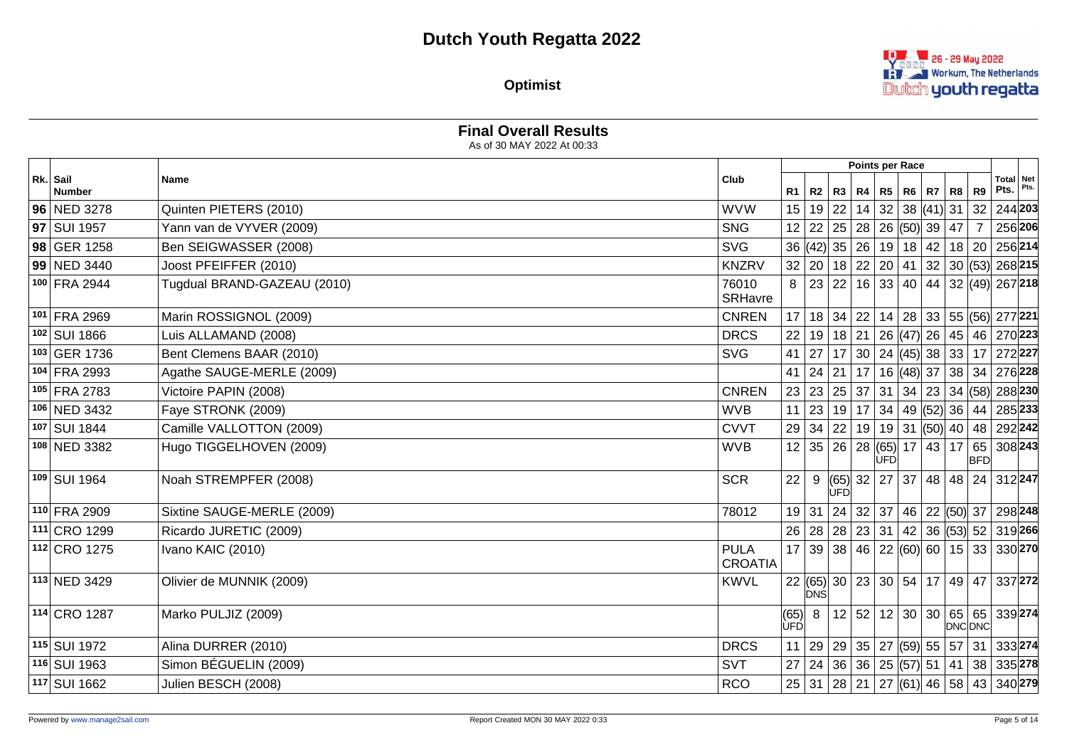**Decision 26 - 29 May 2022 RAY Workum, The Netherlands** Dutch youth regatta

**Optimist**

|                           | As of 30 MAY 2022 At 00:33  |                               |                      |            |                                                                                |            |                     |              |                |                                                                                                        |         |
|---------------------------|-----------------------------|-------------------------------|----------------------|------------|--------------------------------------------------------------------------------|------------|---------------------|--------------|----------------|--------------------------------------------------------------------------------------------------------|---------|
|                           |                             |                               |                      |            |                                                                                |            | Points per Race     |              |                |                                                                                                        |         |
| Rk. Sail<br><b>Number</b> | Name                        | Club                          | R1                   |            | R2   R3   R4   R5                                                              |            |                     | R6   R7   R8 | R9             | Total Net<br>Pts.                                                                                      |         |
| 96 NED 3278               | Quinten PIETERS (2010)      | <b>WVW</b>                    |                      |            | 15 19 22                                                                       |            | $14$ 32 38 (41) 31  |              |                | 32 244 203                                                                                             |         |
| 97 SUI 1957               | Yann van de VYVER (2009)    | <b>SNG</b>                    |                      |            | $12   22   25   28   26   (50)   39   47$                                      |            |                     |              | $\overline{7}$ |                                                                                                        | 256 206 |
| 98 GER 1258               | Ben SEIGWASSER (2008)       | <b>SVG</b>                    |                      |            |                                                                                |            |                     |              |                | 36 (42) 35 26 19 18 42 18 20 256 214                                                                   |         |
| 99 NED 3440               | Joost PFEIFFER (2010)       | <b>KNZRV</b>                  |                      |            |                                                                                |            |                     |              |                | $32   20   18   22   20   41   32   30   (53)   268   215$                                             |         |
| 100 FRA 2944              | Tugdual BRAND-GAZEAU (2010) | 76010<br>SRHavre              | 8                    |            |                                                                                |            |                     |              |                | 23 22 16 33 40 44 32 49 267 218                                                                        |         |
| 101 FRA 2969              | Marin ROSSIGNOL (2009)      | <b>CNREN</b>                  |                      |            | 17 18 34                                                                       |            |                     |              |                | 22   14   28   33   55  (56)  277 221                                                                  |         |
| 102 SUI 1866              | Luis ALLAMAND (2008)        | <b>DRCS</b>                   |                      |            |                                                                                |            |                     |              |                | 22   19   18   21   26   (47)   26   45   46   270   223                                               |         |
| 103 GER 1736              | Bent Clemens BAAR (2010)    | <b>SVG</b>                    | 41                   | 27         |                                                                                |            |                     |              |                | $\vert$ 17 $\vert$ 30 $\vert$ 24 $\vert$ (45) $\vert$ 38 $\vert$ 33 $\vert$ 17 $\vert$ 272 $\vert$ 227 |         |
| 104 FRA 2993              | Agathe SAUGE-MERLE (2009)   |                               | 41                   | $\vert$ 24 | 21                                                                             |            |                     |              |                | <sup> </sup> 17   16  (48)  37   38   34   276 <b> 228</b>                                             |         |
| 105 FRA 2783              | Victoire PAPIN (2008)       | <b>CNREN</b>                  |                      |            |                                                                                |            |                     |              |                | 23 23 25 37 31 34 23 34 68 28 230                                                                      |         |
| 106 NED 3432              | Faye STRONK (2009)          | <b>WVB</b>                    |                      |            |                                                                                |            |                     |              |                | 11   23   19   17   34   49   (52)   36   44   285   233                                               |         |
| 107 SUI 1844              | Camille VALLOTTON (2009)    | <b>CVVT</b>                   |                      |            | 29 34 22                                                                       |            |                     |              |                | 19   19   31  (50) 40   48   292 242                                                                   |         |
| 108 NED 3382              | Hugo TIGGELHOVEN (2009)     | <b>WVB</b>                    |                      |            | 12 35 26                                                                       | <b>ÚFD</b> | 28(65) 17   43   17 |              | <b>BFD</b>     | 65   308 <b>243</b>                                                                                    |         |
| 109 SUI 1964              | Noah STREMPFER (2008)       | <b>SCR</b>                    | 22                   | 9          | ÙFD                                                                            |            |                     |              |                | $ (65) $ 32   27   37   48   48   24   312 247                                                         |         |
| 110 FRA 2909              | Sixtine SAUGE-MERLE (2009)  | 78012                         |                      |            |                                                                                |            |                     |              |                | 19 31 24 32 37 46 22 (50) 37 298 248                                                                   |         |
| 111 CRO 1299              | Ricardo JURETIC (2009)      |                               | 26                   |            | 28 28 3                                                                        |            |                     |              |                | 23 31 42 36 (53) 52 319 266                                                                            |         |
| 112 CRO 1275              | Ivano KAIC (2010)           | <b>PULA</b><br><b>CROATIA</b> |                      |            |                                                                                |            |                     |              |                | 17 39 38 46 22 60 60 15 33 330 270                                                                     |         |
| 113 NED 3429              | Olivier de MUNNIK (2009)    | <b>KWVL</b>                   |                      | <b>DNŚ</b> |                                                                                |            |                     |              |                | 22 (65) 30 23 30 54 17 49 47 337 272                                                                   |         |
| 114 CRO 1287              | Marko PULJIZ (2009)         |                               | (65) 8<br><b>ÚFÓ</b> |            |                                                                                |            |                     |              | DNC DNC        | 12 52 12 30 30 65 65 339 274                                                                           |         |
| 115 SUI 1972              | Alina DURRER (2010)         | <b>DRCS</b>                   | 11                   |            | $\vert$ 29 $\vert$ 29 $\vert$ 35 $\vert$ 27 $\vert$ (59) $\vert$ 55 $\vert$ 57 |            |                     |              |                | 31 333 274                                                                                             |         |
| 116 SUI 1963              | Simon BÉGUELIN (2009)       | <b>SVT</b>                    | 27                   |            | $\sqrt{24}\sqrt{36}\sqrt{36}\sqrt{25}\sqrt{57}\sqrt{51}\sqrt{41}$              |            |                     |              |                | 38 335 278                                                                                             |         |
| 117 SUI 1662              | Julien BESCH (2008)         | <b>RCO</b>                    |                      |            |                                                                                |            |                     |              |                | 25 31 28 21 27 (61) 46 58 43 340 279                                                                   |         |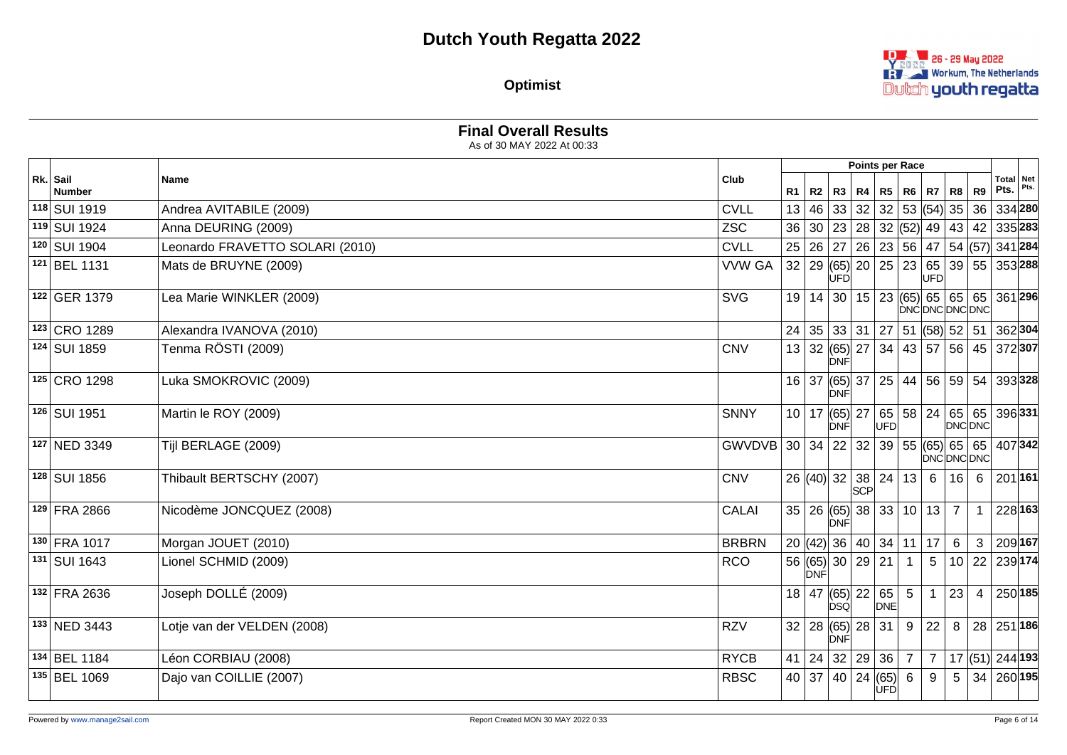**D. 26 - 29 May 2022 REVER Workum, The Netherlands** Dutch youth regatta

**Optimist**

|                           | <b>Final Overall Results</b><br>As of 30 MAY 2022 At 00:33 |               |    |       |                                                          |         |                   |                |                     |                |                     |                        |         |
|---------------------------|------------------------------------------------------------|---------------|----|-------|----------------------------------------------------------|---------|-------------------|----------------|---------------------|----------------|---------------------|------------------------|---------|
|                           |                                                            |               |    |       |                                                          |         | Points per Race   |                |                     |                |                     |                        |         |
| Rk. Sail<br><b>Number</b> | <b>Name</b>                                                | Club          | R1 | R2    |                                                          | R3   R4 |                   |                | R5   R6   R7   R8   |                | <b>R9</b>           | Total Net<br>Pts. Pts. |         |
| 118 SUI 1919              | Andrea AVITABILE (2009)                                    | <b>CVLL</b>   | 13 | 46    |                                                          | 33 32   |                   |                | 32   53   (54)   35 |                | 36                  | 334 280                |         |
| 119 SUI 1924              | Anna DEURING (2009)                                        | <b>ZSC</b>    | 36 |       | 30   23   28   32  (52)  49   43   42   335  <b>283</b>  |         |                   |                |                     |                |                     |                        |         |
| 120 SUI 1904              | Leonardo FRAVETTO SOLARI (2010)                            | <b>CVLL</b>   |    |       | 25 26 27 26 23 56 47 54 (57) 341 284                     |         |                   |                |                     |                |                     |                        |         |
| 121 BEL 1131              | Mats de BRUYNE (2009)                                      | <b>VVW GA</b> |    |       | 32 29 65 20 25 23 65 39 55 353 288<br>ÙFĎ                |         |                   |                | UFD                 |                |                     |                        |         |
| 122 GER 1379              | Lea Marie WINKLER (2009)                                   | <b>SVG</b>    |    |       | 19   14   30   15   23   (65)   65   65   65   361   296 |         |                   |                |                     |                | <b>DNCDNCDNCDNC</b> |                        |         |
| 123 CRO 1289              | Alexandra IVANOVA (2010)                                   |               | 24 |       | 35   33   31   27   51  (58)  52   51   362  <b>304</b>  |         |                   |                |                     |                |                     |                        |         |
| 124 SUI 1859              | Tenma RÖSTI (2009)                                         | <b>CNV</b>    |    |       | 13 32 (65) 27 34 43 57 56 45 372 307<br>DNF              |         |                   |                |                     |                |                     |                        |         |
| 125 CRO 1298              | Luka SMOKROVIC (2009)                                      |               |    | 16 37 | $ (65) $ 37   25   44   56   59   54   393   328<br>DNF  |         |                   |                |                     |                |                     |                        |         |
| 126 SUI 1951              | Martin le ROY (2009)                                       | <b>SNNY</b>   |    | 10 17 | (65) 27<br><b>DNF</b>                                    |         | UFD               |                | 65 58 24            | 65             | DNC DNC             | 65 396 331             |         |
| 127 NED 3349              | Tijl BERLAGE (2009)                                        | GWVDVB        |    |       | 30 34 22                                                 | 32      | 39                |                |                     |                | <b>DNCDNCDNC</b>    | 55 (65) 65 65 407 342  |         |
| 128 SUI 1856              | Thibault BERTSCHY (2007)                                   | <b>CNV</b>    |    |       | 26 (40) 32 38 24 13                                      |         |                   |                | 6                   | 16             | 6                   | 201 161                |         |
| 129 FRA 2866              | Nicodème JONCQUEZ (2008)                                   | <b>CALAI</b>  |    |       | $35   26   (65)   38   33   10   13   7$<br>DNF          |         |                   |                |                     |                |                     |                        | 228 163 |
| 130 FRA 1017              | Morgan JOUET (2010)                                        | <b>BRBRN</b>  |    |       | 20  (42)  36   40   34   11                              |         |                   |                | 17                  | 6              | 3                   | 209 167                |         |
| 131 SUI 1643              | Lionel SCHMID (2009)                                       | <b>RCO</b>    |    | DNF   | 56 (65) 30 29 21                                         |         |                   | $\overline{1}$ | 5                   |                |                     | 10 22 239 174          |         |
| 132 FRA 2636              | Joseph DOLLÉ (2009)                                        |               |    |       | 18   47 $ (65)  22   65 $<br> òsó                        |         | DNE               | 5              | $\mathbf{1}$        | 23             | $\overline{4}$      | 250 185                |         |
| 133 NED 3443              | Lotje van der VELDEN (2008)                                | <b>RZV</b>    |    |       | 32   28   (65)   28   31<br>DNF                          |         |                   | 9              | 22                  | 8              |                     | 28 251 186             |         |
| 134 BEL 1184              | Léon CORBIAU (2008)                                        | <b>RYCB</b>   | 41 |       | 24 32 29 36                                              |         |                   | $\overline{7}$ | $7\overline{ }$     |                |                     | 17 (51) 244 193        |         |
| 135 BEL 1069              | Dajo van COILLIE (2007)                                    | <b>RBSC</b>   |    | 40 37 |                                                          |         | 40 24 65 6<br>UFD |                | 9                   | $\overline{5}$ |                     | $34 260 $ 195          |         |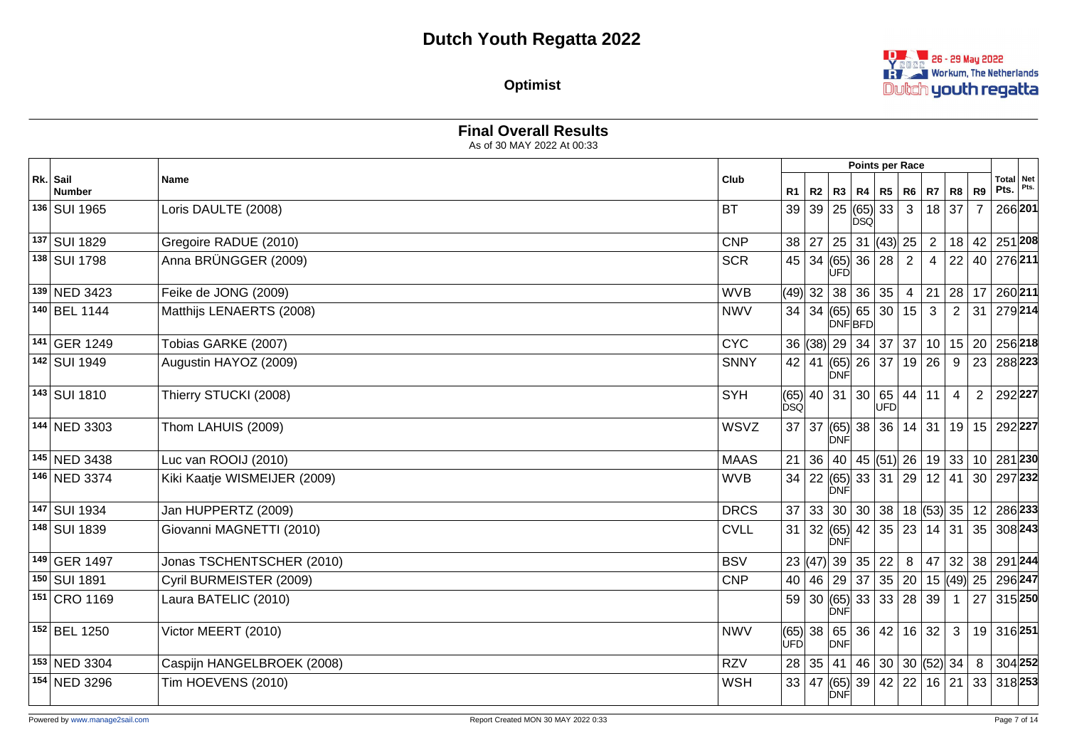

**Optimist**

|                           | As of 30 MAY 2022 At 00:33   |             |            |                |                                                                        |                                                         |      |                   |                     |                |                |                     |      |
|---------------------------|------------------------------|-------------|------------|----------------|------------------------------------------------------------------------|---------------------------------------------------------|------|-------------------|---------------------|----------------|----------------|---------------------|------|
|                           |                              |             |            |                |                                                                        |                                                         |      | Points per Race   |                     |                |                |                     |      |
| Rk. Sail<br><b>Number</b> | <b>Name</b>                  | Club        | R1         | R <sub>2</sub> |                                                                        | R3   R4   R5                                            |      | R <sub>6</sub>    | $R7$ R <sub>8</sub> |                | R <sub>9</sub> | Total Net<br>Pts.   | Pts. |
| 136 SUI 1965              | Loris DAULTE (2008)          | <b>BT</b>   | 39         |                | 39   25  (65)  33                                                      | <b>DSQ</b>                                              |      | $\mathbf{3}$      | $18$ 37             |                | $\overline{7}$ | 266 201             |      |
| 137 SUI 1829              | Gregoire RADUE (2010)        | <b>CNP</b>  |            | 38 27          |                                                                        | $25 \,   \, 31 \,   \langle 43 \rangle   \, 25 \,   \,$ |      |                   |                     | 2   18   42    |                | 251 208             |      |
| 138 SUI 1798              | Anna BRÜNGGER (2009)         | <b>SCR</b>  | 45         | 34             | (65) 36 28<br>ÙFĎ                                                      |                                                         |      | 2                 | $\overline{4}$      | 22             |                | 40 276 211          |      |
| 139 NED 3423              | Feike de JONG (2009)         | <b>WVB</b>  |            | $(49)$ 32      |                                                                        | 38 36 35                                                |      | $\overline{4}$    |                     | 21   28   17   |                | 260211              |      |
| 140 BEL 1144              | Matthijs LENAERTS (2008)     | <b>NWV</b>  | 34         | 34             | (65) 65 30<br><b>DNFBFD</b>                                            |                                                         |      | 15                | $\mathbf{3}$        | 2              | 31             | 279214              |      |
| $\sqrt{141}$ GER 1249     | Tobias GARKE (2007)          | <b>CYC</b>  |            |                | 36 (38) 29 34 37 37                                                    |                                                         |      |                   |                     | 10 15 20       |                | 256 218             |      |
| 142 SUI 1949              | Augustin HAYOZ (2009)        | <b>SNNY</b> |            |                | $42$   41 (65)  26   37  <br><b>DNF</b>                                |                                                         |      |                   | 19 26               | 9              | 23             | 288 223             |      |
| 143 SUI 1810              | Thierry STUCKI (2008)        | <b>SYH</b>  | <b>DSQ</b> |                | (65) 40 31 30 65 44                                                    |                                                         | lufd |                   | $ 11\rangle$        | $\overline{4}$ | $\overline{2}$ | 292227              |      |
| 144 NED 3303              | Thom LAHUIS (2009)           | WSVZ        |            |                | 37   37   (65)   38   36  <br>DNF                                      |                                                         |      |                   |                     |                |                | 14 31 19 15 292 227 |      |
| 145 NED 3438              | Luc van ROOIJ (2010)         | <b>MAAS</b> | 21         | 36             |                                                                        |                                                         |      | 40   45  (51)  26 |                     | 19   33   10   |                | 281 230             |      |
| 146 NED 3374              | Kiki Kaatje WISMEIJER (2009) | <b>WVB</b>  | 34         |                | 22  (65)  33   31   29<br><b>DNF</b>                                   |                                                         |      |                   |                     | 12 41          |                | 30 297 232          |      |
| 147 SUI 1934              | Jan HUPPERTZ (2009)          | <b>DRCS</b> | 37         |                | 33   30   30   38   18  (53)  35   12   286  <b>233</b>                |                                                         |      |                   |                     |                |                |                     |      |
| 148 SUI 1839              | Giovanni MAGNETTI (2010)     | <b>CVLL</b> | 31         |                | 32  (65)  42   35   23   14   31   35   308 <b>243</b>  <br><b>DNF</b> |                                                         |      |                   |                     |                |                |                     |      |
| 149 GER 1497              | Jonas TSCHENTSCHER (2010)    | <b>BSV</b>  |            |                | 23 (47) 39 35 22                                                       |                                                         |      | 8                 |                     | 47 32 38       |                | 291244              |      |
| 150 SUI 1891              | Cyril BURMEISTER (2009)      | <b>CNP</b>  |            |                | 40   46   29   37   35   20   15   (49)   25                           |                                                         |      |                   |                     |                |                | 296 247             |      |
| 151 CRO 1169              | Laura BATELIC (2010)         |             | 59         |                | 30 (65)  33   33   28<br><b>DNF</b>                                    |                                                         |      |                   | 39                  | $\overline{1}$ | 27             | 315 250             |      |
| 152 BEL 1250              | Victor MEERT (2010)          | <b>NWV</b>  | <b>ÚFD</b> |                | $(65)$ 38 $\mid 65 \mid 36 \mid 42 \mid 16 \mid 32 \mid$<br>DNF        |                                                         |      |                   |                     | $\mathbf{3}$   |                | 19 316 251          |      |
| 153 NED 3304              | Caspijn HANGELBROEK (2008)   | <b>RZV</b>  |            |                | 28 35 41                                                               |                                                         |      | 46 30 30 52 34    |                     |                | 8              | 304 252             |      |
| 154 NED 3296              | Tim HOEVENS (2010)           | <b>WSH</b>  | 33         | 47             | (65) 39 42 <br>DNF                                                     |                                                         |      | 22                |                     | 16 21          |                | 33 318 253          |      |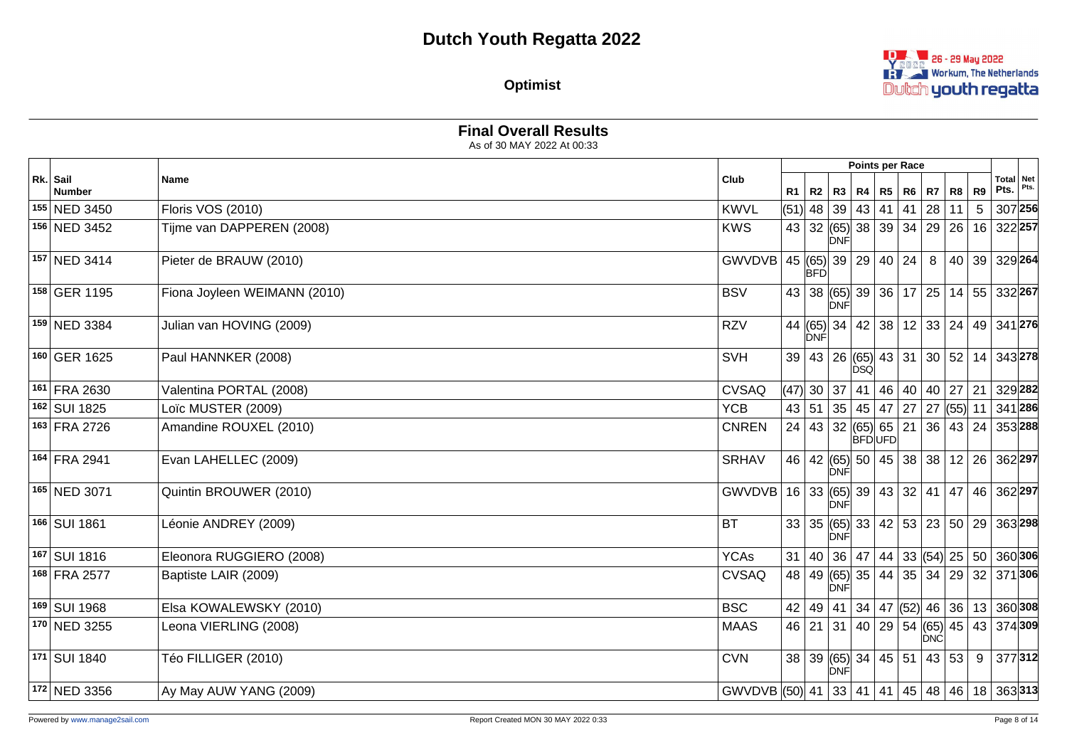

**Optimist**

|                           | As of 30 MAY 2022 At 00:33   |                                             |                |            |                    |              |                                                            |    |       |    |             |                |
|---------------------------|------------------------------|---------------------------------------------|----------------|------------|--------------------|--------------|------------------------------------------------------------|----|-------|----|-------------|----------------|
|                           |                              |                                             |                |            |                    |              | Points per Race                                            |    |       |    |             |                |
| Rk. Sail<br><b>Number</b> | Name                         | Club                                        | R <sub>1</sub> |            |                    |              | R2   R3   R4   R5   R6   R7   R8                           |    |       | R9 | $Pts.$ Pts. | Total Net      |
| 155 NED 3450              | <b>Floris VOS (2010)</b>     | <b>KWVL</b>                                 |                |            | $(51)$ 48 39 43 41 |              |                                                            | 41 | 28 11 | 5  |             | 307 256        |
| 156 NED 3452              | Tijme van DAPPEREN (2008)    | <b>KWS</b>                                  |                |            | <b>DNF</b>         |              | 43 32 (65) 38 39 34 29 26 16 322 257                       |    |       |    |             |                |
| 157 NED 3414              | Pieter de BRAUW (2010)       | GWVDVB                                      |                | <b>BFD</b> |                    |              | 45 (65) 39 29 40 24                                        |    | 8     |    |             | 40 39 329 264  |
| 158 GER 1195              | Fiona Joyleen WEIMANN (2010) | <b>BSV</b>                                  |                |            | ∣ÒNFI              |              | 43 38 (65) 39 36 17 25 14 55 332 267                       |    |       |    |             |                |
| 159 NED 3384              | Julian van HOVING (2009)     | <b>RZV</b>                                  |                | DNF        |                    |              | 44 (65) 34 42 38 12 33 24 49 341 276                       |    |       |    |             |                |
| 160 GER 1625              | Paul HANNKER (2008)          | <b>SVH</b>                                  |                |            |                    | <b>I</b> DSQ | 39   43   26   (65)   43   31   30   52   14   343   278   |    |       |    |             |                |
| 161 FRA 2630              | Valentina PORTAL (2008)      | <b>CVSAQ</b>                                |                |            |                    |              | (47)  30   37   41   46   40   40   27                     |    |       |    |             | 21   329   282 |
| 162 SUI 1825              | Loïc MUSTER (2009)           | <b>YCB</b>                                  |                |            |                    |              | 43 51 35 45 47 27 27 55 11 341 286                         |    |       |    |             |                |
| 163 FRA 2726              | Amandine ROUXEL (2010)       | <b>CNREN</b>                                |                |            |                    |              | 24 43 32 (65) 65 21 36 43 24 353 288<br><b>BFDUFD</b>      |    |       |    |             |                |
| 164 FRA 2941              | Evan LAHELLEC (2009)         | <b>SRHAV</b>                                |                |            | <b>DNF</b>         |              | 46 42 (65) 50 45 38 38 12 26 362 297                       |    |       |    |             |                |
| 165 NED 3071              | Quintin BROUWER (2010)       | GWVDVB                                      |                |            | <b>DNF</b>         |              | 16 33 (65) 39 43 32 41 47 46 362 297                       |    |       |    |             |                |
| 166 SUI 1861              | Léonie ANDREY (2009)         | <b>BT</b>                                   |                |            | ĎNÉ                |              | 33   35   (65)   33   42   53   23   50   29   363   298   |    |       |    |             |                |
| 167 SUI 1816              | Eleonora RUGGIERO (2008)     | <b>YCAs</b>                                 | 31             |            |                    |              | 40   36   47   44   33  (54)  25   50   360  <b>306</b>    |    |       |    |             |                |
| 168 FRA 2577              | Baptiste LAIR (2009)         | <b>CVSAQ</b>                                |                |            | <b>DNF</b>         |              | 48 49 (65) 35 44 35 34 29 32 371 306                       |    |       |    |             |                |
| 169 SUI 1968              | Elsa KOWALEWSKY (2010)       | <b>BSC</b>                                  |                |            |                    |              | $42$   49   41   34   47   (52)   46   36   13   360   308 |    |       |    |             |                |
| 170 NED 3255              | Leona VIERLING (2008)        | <b>MAAS</b>                                 |                |            |                    |              | 46 21 31 40 29 54 (65) 45 43 374 309                       |    | DNC   |    |             |                |
| 171 SUI 1840              | Téo FILLIGER (2010)          | <b>CVN</b>                                  |                |            | <b>DNF</b>         |              | 38 39 (65) 34 45 51 43 53                                  |    |       |    |             | 9 377 312      |
| 172 NED 3356              | Ay May AUW YANG (2009)       | GWVDVB (50) 41 33 41 41 45 48 46 18 363 313 |                |            |                    |              |                                                            |    |       |    |             |                |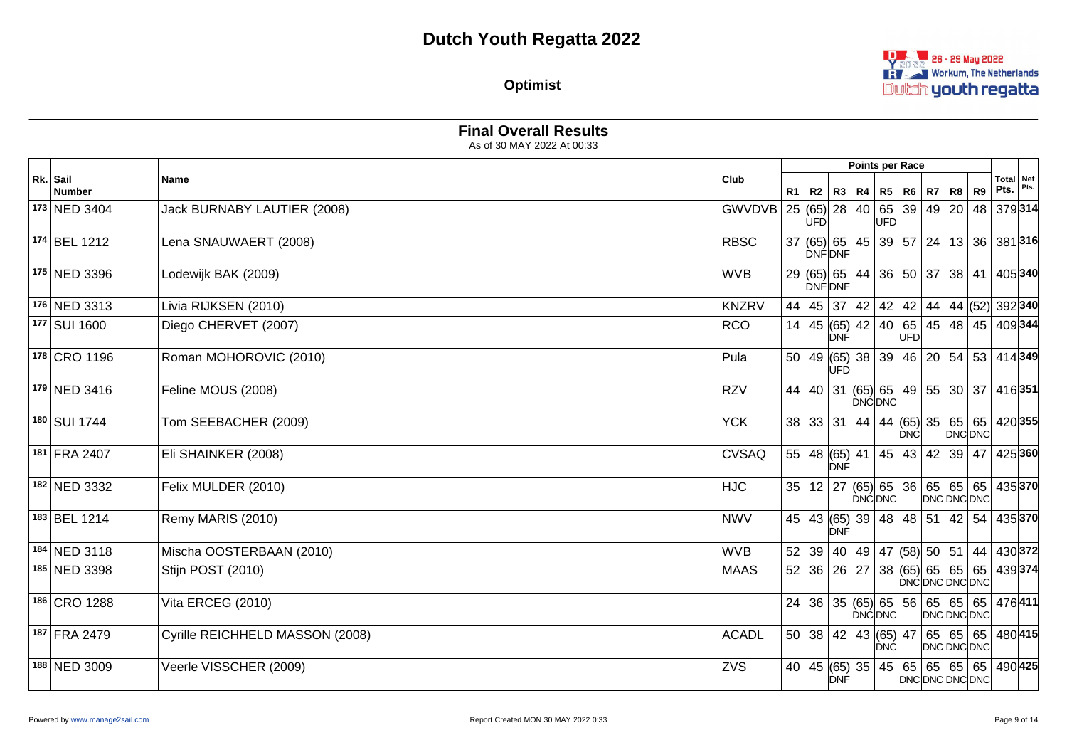

**Optimist**

|                           |                                 |              |    |      |                                                                          | Points per Race |            |                               |                |                                              |  |
|---------------------------|---------------------------------|--------------|----|------|--------------------------------------------------------------------------|-----------------|------------|-------------------------------|----------------|----------------------------------------------|--|
| Rk. Sail<br><b>Number</b> | Name                            | Club         |    |      | R1   R2   R3   R4   R5                                                   |                 | <b>R6</b>  | $RT$ R <sub>8</sub>           | R <sub>9</sub> | <b>Total Net</b><br>Pts. $ $ <sup>Pts.</sup> |  |
| 173 NED 3404              | Jack BURNABY LAUTIER (2008)     | GWVDVB       | 25 | UFDl | $ (65) $ 28   40   65   39   49   20                                     | <b>UFD</b>      |            |                               | 48             | 379314                                       |  |
| 174 BEL 1212              | Lena SNAUWAERT (2008)           | <b>RBSC</b>  |    |      | 37 (65) 65 45 39 57 24 13 36 381 316<br><b>DNFONF</b>                    |                 |            |                               |                |                                              |  |
| 175 NED 3396              | Lodewijk BAK (2009)             | <b>WVB</b>   |    |      | 29 (65) 65 44 36 50 37 38 41<br><b>DNFONF</b>                            |                 |            |                               |                | 405 340                                      |  |
| 176 NED 3313              | Livia RIJKSEN (2010)            | <b>KNZRV</b> |    |      | 44   45   37   42   42   42   44   44   (52)  392   340                  |                 |            |                               |                |                                              |  |
| 177 SUI 1600              | Diego CHERVET (2007)            | <b>RCO</b>   |    |      | 14   45 $ (65) $ 42   40<br>DNF                                          |                 | <b>UFD</b> | 65   45   48   45   409   344 |                |                                              |  |
| 178 CRO 1196              | Roman MOHOROVIC (2010)          | Pula         |    |      | $50   49   (65)   38   39   46   20   54   53   414   349$<br><b>UFD</b> |                 |            |                               |                |                                              |  |
| 179 NED 3416              | Feline MOUS (2008)              | <b>RZV</b>   | 44 |      | 40   31  (65)  65   49   55   30   37   416   351                        | <b>DNCDNC</b>   |            |                               |                |                                              |  |
| 180 SUI 1744              | Tom SEEBACHER (2009)            | <b>YCK</b>   |    |      | 38 33 31 44 44 65 35 65 65                                               |                 | <b>DNC</b> |                               | DNC DNC        | 420 355                                      |  |
| 181 FRA 2407              | Eli SHAINKER (2008)             | <b>CVSAQ</b> |    |      | $55   48   (65)   41   45   43   42   39$<br>DNF                         |                 |            |                               | 47             | 425 360                                      |  |
| 182 NED 3332              | Felix MULDER (2010)             | <b>HJC</b>   | 35 |      | $12$   27 $ (65)$ 65   36   65   65   65                                 | <b>DNCDNC</b>   |            | DNCDNCDNC                     |                | 435370                                       |  |
| 183 BEL 1214              | Remy MARIS (2010)               | <b>NWV</b>   |    |      | 45 43 (65) 39 48 48 51 42 54 435 370<br><b>DNF</b>                       |                 |            |                               |                |                                              |  |
| 184 NED 3118              | Mischa OOSTERBAAN (2010)        | <b>WVB</b>   |    |      | 52 39 40 49 47 (58) 50 51 44                                             |                 |            |                               |                | $ 430 $ 372                                  |  |
| 185 NED 3398              | Stijn POST (2010)               | <b>MAAS</b>  |    |      | 52 36 26 27 38(65 65 65 65 439 374)                                      |                 |            | DNCDNCDNCDNC                  |                |                                              |  |
| 186 CRO 1288              | Vita ERCEG (2010)               |              |    |      | $24   36   35   (65)   65   56   65   65   65$                           | DNC DNC         |            | DNC DNC DNC                   |                | 476411                                       |  |
| 187 FRA 2479              | Cyrille REICHHELD MASSON (2008) | <b>ACADL</b> |    |      | 50 38 42 43 65 47 65 65 65                                               | DNC             |            | DNC DNC DNC                   |                | 480415                                       |  |
| 188 NED 3009              | Veerle VISSCHER (2009)          | ZVS          |    |      | 40   45   (65)   35   45   65   65   65   65   490   425<br>DNF          |                 |            | DNCDNCDNCDNC                  |                |                                              |  |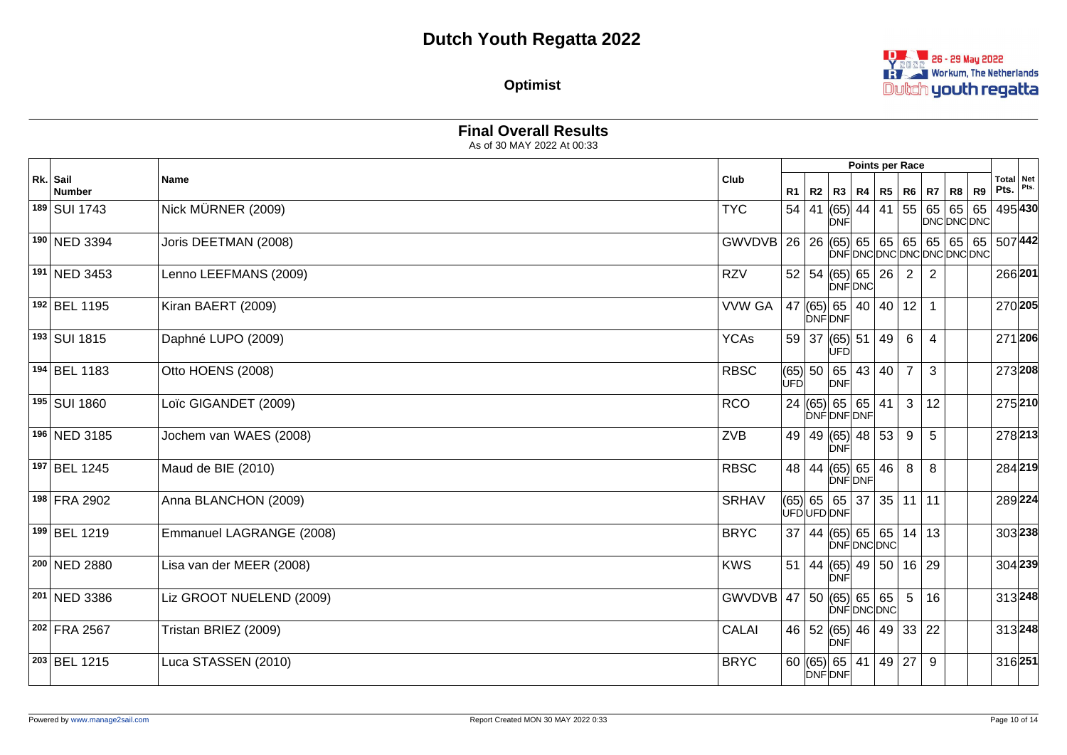

**Optimist**

|                    |                          |                                                |            |       |                                                  | Points per Race |                 |    |                                    |           |                            |  |
|--------------------|--------------------------|------------------------------------------------|------------|-------|--------------------------------------------------|-----------------|-----------------|----|------------------------------------|-----------|----------------------------|--|
| Rk. Sail<br>Number | <b>Name</b>              | Club                                           |            |       | R1   R2   R3   R4   R5   R6   R7   R8            |                 |                 |    |                                    | <b>R9</b> | Total   Net<br>Pts. $Pts.$ |  |
| 189 SUI 1743       | Nick MÜRNER (2009)       | <b>TYC</b>                                     |            | 54 41 | $ (65) $ 44   41  <br>DNF                        |                 |                 |    | 55 65 65 65 495 430<br>DNC DNC DNC |           |                            |  |
| 190 NED 3394       | Joris DEETMAN (2008)     | GWVDVB 26 26 (65) 65 65 65 65 65 65 65 65 7442 |            |       |                                                  |                 |                 |    | DNFDNCDNCDNCDNCDNCDNC              |           |                            |  |
| 191 NED 3453       | Lenno LEEFMANS (2009)    | <b>RZV</b>                                     |            |       | 52   54   (65)   65   26<br>DNFDNC               |                 | $\overline{2}$  | 2  |                                    |           | 266 201                    |  |
| 192 BEL 1195       | Kiran BAERT (2009)       | <b>VVW GA</b>                                  |            |       | 47 $ (65) $ 65   40   40  <br>DNFDNF             |                 | 12              | 1  |                                    |           | 270 205                    |  |
| 193 SUI 1815       | Daphné LUPO (2009)       | <b>YCAs</b>                                    |            |       | 59 37 (65) 51 49<br>UFD                          |                 | 6               | 4  |                                    |           | 271 206                    |  |
| 194 BEL 1183       | Otto HOENS (2008)        | <b>RBSC</b>                                    | <b>UFD</b> |       | (65) 50 65<br>DNF                                | 43 40           | $\overline{7}$  | 3  |                                    |           | 273 208                    |  |
| 195 SUI 1860       | Loïc GIGANDET (2009)     | <b>RCO</b>                                     |            |       | 24 (65) 65 65 41<br>DNFDNFDNF                    |                 | 3               | 12 |                                    |           | 275 210                    |  |
| 196 NED 3185       | Jochem van WAES (2008)   | ZVB                                            |            |       | 49 49 (65) 48 53<br>DNF                          |                 | 9               | 5  |                                    |           | 278 213                    |  |
| 197 BEL 1245       | Maud de BIE (2010)       | <b>RBSC</b>                                    |            |       | 48 44 (65) 65 46<br>DNFDNF                       |                 | 8               | 8  |                                    |           | 284 219                    |  |
| 198 FRA 2902       | Anna BLANCHON (2009)     | <b>SRHAV</b>                                   |            |       | $(65)$ 65 65 37 35 11 11<br>ÙFÓUFDDNF            |                 |                 |    |                                    |           | 289224                     |  |
| 199 BEL 1219       | Emmanuel LAGRANGE (2008) | <b>BRYC</b>                                    |            |       | 37   44   (65)   65   65   14   13               | DNFDNCDNC       |                 |    |                                    |           | 303 238                    |  |
| 200 NED 2880       | Lisa van der MEER (2008) | <b>KWS</b>                                     |            |       | 51   44   (65)   49   50   16   29<br><b>DNF</b> |                 |                 |    |                                    |           | 304 239                    |  |
| 201 NED 3386       | Liz GROOT NUELEND (2009) | GWVDVB 47 50 (65) 65 65                        |            |       |                                                  | DNFDNCDNC       | $5\phantom{.0}$ | 16 |                                    |           | 313 248                    |  |
| 202 FRA 2567       | Tristan BRIEZ (2009)     | <b>CALAI</b>                                   |            |       | 46 52 (65) 46 49 33 22<br>DNF                    |                 |                 |    |                                    |           | 313 248                    |  |
| 203 BEL 1215       | Luca STASSEN (2010)      | <b>BRYC</b>                                    |            |       | 60 (65) 65 41 49 27<br>DNFDNF                    |                 |                 | 9  |                                    |           | 316 251                    |  |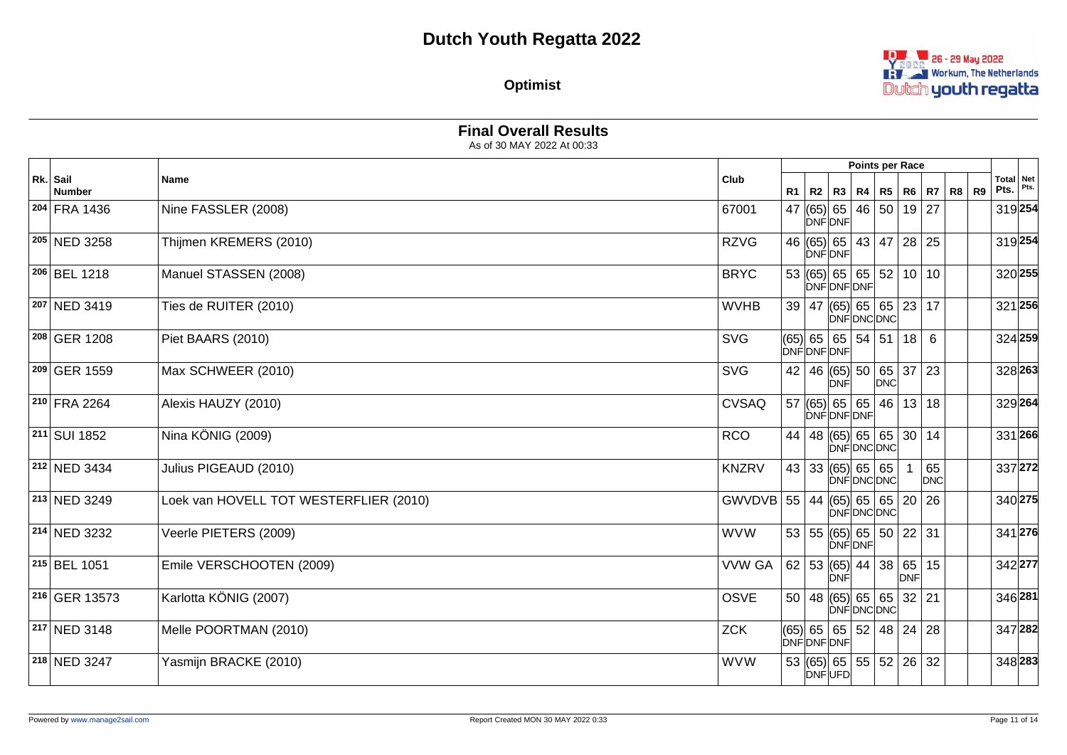

**Optimist**

|                         |                                        |                |    |                                                                  | Points per Race   |          |                  |           |                            |  |
|-------------------------|----------------------------------------|----------------|----|------------------------------------------------------------------|-------------------|----------|------------------|-----------|----------------------------|--|
| Rk. Sail<br>Number      | Name                                   | Club           | R1 | R2   R3   R4   R5   R6   R7   R8                                 |                   |          |                  | <b>R9</b> | Total   Net<br>$Pts.$ Pts. |  |
| 204 FRA 1436            | Nine FASSLER (2008)                    | 67001          |    | 47 $ (65) $ 65<br><b>DNFDNF</b>                                  | 46   50   19   27 |          |                  |           | 319 254                    |  |
| 205 NED 3258            | Thijmen KREMERS (2010)                 | <b>RZVG</b>    |    | 46 (65) 65 43 47 28 25<br>DNF DNF                                |                   |          |                  |           | 319 254                    |  |
| 206 BEL 1218            | Manuel STASSEN (2008)                  | <b>BRYC</b>    |    | 53   (65)   65   65   52   10   10<br>DNFDNFDNF                  |                   |          |                  |           | 320 255                    |  |
| 207 NED 3419            | Ties de RUITER (2010)                  | <b>WVHB</b>    |    | 39   47   (65)   65   65   23   17                               | DNFDNCDNC         |          |                  |           | 321 256                    |  |
| 208 GER 1208            | Piet BAARS (2010)                      | <b>SVG</b>     |    | $(65)$ 65 65 54 51 18<br>DNFDNFDNF                               |                   |          | 6                |           | 324 259                    |  |
| 209 GER 1559            | Max SCHWEER (2010)                     | <b>SVG</b>     |    | 42   46 $ (65) $ 50   65   37<br>DNF                             | <b>DNC</b>        |          | 23               |           | 328 263                    |  |
| 210 FRA 2264            | Alexis HAUZY (2010)                    | <b>CVSAQ</b>   |    | 57   (65)   65   65  <br>DNFDNFDNF                               |                   | 46 13 18 |                  |           | 329 264                    |  |
| $211$ SUI 1852          | Nina KÖNIG (2009)                      | <b>RCO</b>     |    | 44   48 $ (65) $ 65   65   30   14                               | ∣ÒNF∣DNC∣DNC∣     |          |                  |           | 331 266                    |  |
| 212 NED 3434            | Julius PIGEAUD (2010)                  | <b>KNZRV</b>   |    | $43 33 $ (65) 65 65                                              | DNFDNCDNC         |          | 65<br><b>DNC</b> |           | 337 272                    |  |
| 213 NED 3249            | Loek van HOVELL TOT WESTERFLIER (2010) | $GWVDVB$ 55 44 |    | $ (65) $ 65   65   20   26                                       | DNFDNCDNC         |          |                  |           | 340 275                    |  |
| 214 NED 3232            | Veerle PIETERS (2009)                  | <b>WVW</b>     |    | 53   55   (65)   65   50   22   31<br>DNFDNF                     |                   |          |                  |           | 341 276                    |  |
| 215 BEL 1051            | Emile VERSCHOOTEN (2009)               | <b>VVW GA</b>  |    | $62$ 53 (65) 44 38 65<br><b>DNF</b>                              |                   | DNF      | 15               |           | 342 277                    |  |
| 216 GER 13573           | Karlotta KÖNIG (2007)                  | <b>OSVE</b>    |    | 50   48   (65)   65   65   32   21                               | DNFDNCDNC         |          |                  |           | 346 281                    |  |
| 217 NED 3148            | Melle POORTMAN (2010)                  | <b>ZCK</b>     |    | $(65)$ 65 $\mid 65 \mid 52 \mid 48 \mid 24 \mid 28$<br>DNFDNFDNF |                   |          |                  |           | 347 282                    |  |
| <sup>218</sup> NED 3247 | Yasmijn BRACKE (2010)                  | <b>WVW</b>     |    | 53 (65) 65 55 52 26 32<br>DNFUFD                                 |                   |          |                  |           | 348 283                    |  |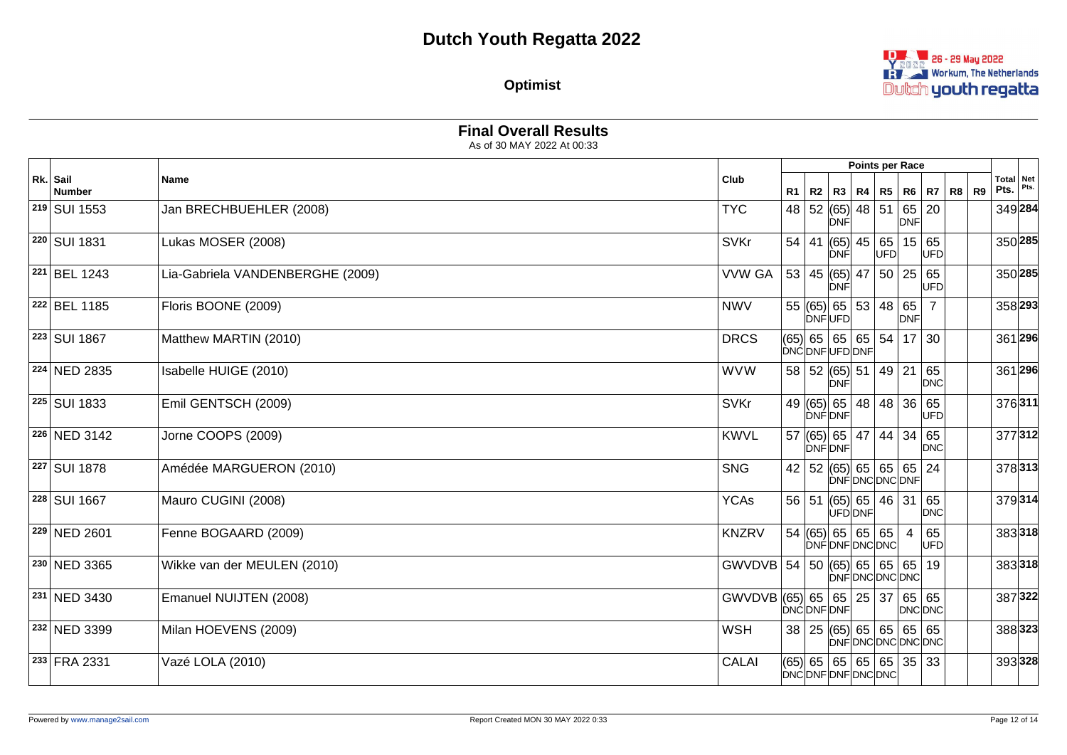

**Optimist**

|                           |                                  |                            |    |                                                |     | Points per Race     |                  |                |                                  |  |
|---------------------------|----------------------------------|----------------------------|----|------------------------------------------------|-----|---------------------|------------------|----------------|----------------------------------|--|
| Rk. Sail<br><b>Number</b> | <b>Name</b>                      | Club                       | R1 | R2   R3   R4   R5                              |     |                     | R6   R7   R8     | R <sub>9</sub> | <b>Total Net</b><br>Pts. $Pts$ . |  |
| 219 SUI 1553              | Jan BRECHBUEHLER (2008)          | <b>TYC</b>                 |    | 48 52 (65) 48 51<br><b>DNF</b>                 |     | 65 20<br><b>DNF</b> |                  |                | 349 284                          |  |
| 220 SUI 1831              | Lukas MOSER (2008)               | <b>SVKr</b>                |    | 54   41   (65)   45   65<br><b>DNF</b>         | UFD | 15 65               | UFD              |                | 350 285                          |  |
| 221 BEL 1243              | Lia-Gabriela VANDENBERGHE (2009) | <b>VVW GA</b>              | 53 | 45 (65)  47   50   25   65<br>DNF              |     |                     | UFD              |                | 350 285                          |  |
| 222 BEL 1185              | Floris BOONE (2009)              | <b>NWV</b>                 |    | 55 (65) 65 53 48 65<br><b>DNFUFD</b>           |     | <b>DNF</b>          | $\overline{7}$   |                | 358 293                          |  |
| 223 SUI 1867              | Matthew MARTIN (2010)            | <b>DRCS</b>                |    | (65)  65   65   65   54   17  <br>DNCDNFUFDDNF |     |                     | 30               |                | 361 296                          |  |
| 224 NED 2835              | Isabelle HUIGE (2010)            | <b>WVW</b>                 |    | 58 52 (65) 51 49 21<br><b>DNF</b>              |     |                     | 65<br>DNC        |                | 361 296                          |  |
| 225 SUI 1833              | Emil GENTSCH (2009)              | <b>SVKr</b>                |    | 49 (65) 65 48 48 36 65<br><b>DNFDNF</b>        |     |                     | UFD              |                | 376311                           |  |
| 226 NED 3142              | Jorne COOPS (2009)               | <b>KWVL</b>                |    | 57 (65) 65 47 44 34 65<br>DNFIDNF              |     |                     | <b>DNC</b>       |                | 377312                           |  |
| 227 SUI 1878              | Amédée MARGUERON (2010)          | <b>SNG</b>                 |    | 42   52   (65)   65   65   65   24             |     | <b>DNFDNCDNCDNF</b> |                  |                | 378313                           |  |
| 228 SUI 1667              | Mauro CUGINI (2008)              | <b>YCAs</b>                |    | 56 51 (65) 65 46 31<br>ÙFD DNF                 |     |                     | 65<br><b>DNC</b> |                | 379314                           |  |
| 229 NED 2601              | Fenne BOGAARD (2009)             | <b>KNZRV</b>               |    | 54   (65)   65   65   65<br>DNFDNFDNCDNC       |     | $\overline{4}$      | 65<br>UFD        |                | 383318                           |  |
| 230 NED 3365              | Wikke van der MEULEN (2010)      | GWVDVB 54 50 (65) 65 65 65 |    |                                                |     | DNFDNCDNCDNC        | 19               |                | 383318                           |  |
| 231 NED 3430              | Emanuel NUIJTEN (2008)           | GWVDVB (65) 65 65 25 37    |    | DNCDNFDNF                                      |     | 65 65<br>DNC DNC    |                  |                | 387322                           |  |
| 232 NED 3399              | Milan HOEVENS (2009)             | <b>WSH</b>                 |    | 38   25   (65)   65   65   65   65             |     | DNFDNCDNCDNCDNC     |                  |                | 388323                           |  |
| 233 FRA 2331              | Vazé LOLA (2010)                 | <b>CALAI</b>               |    | (65) 65 65 65 65 35 33<br>DNCDNFDNFDNCDNC      |     |                     |                  |                | 393328                           |  |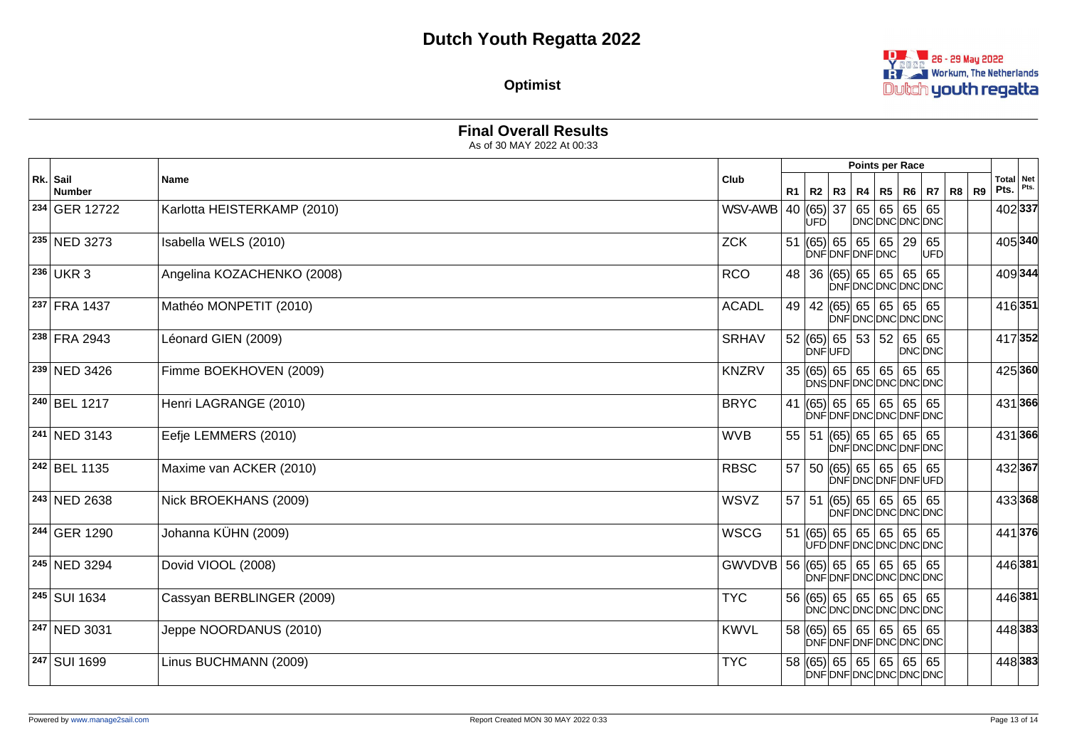

**Optimist**

|                          |                             |                               |     |               | Points per Race                                               |         |       |                                         |  |
|--------------------------|-----------------------------|-------------------------------|-----|---------------|---------------------------------------------------------------|---------|-------|-----------------------------------------|--|
| Rk. Sail<br>Number       | <b>Name</b>                 | Club                          |     |               | R1   R2   R3   R4   R5   R6   R7                              |         | R8 R9 | Total   Net<br>Pts. $ $ <sup>Pts.</sup> |  |
| <sup>234</sup> GER 12722 | Karlotta HEISTERKAMP (2010) | WSV-AWB                       | UFD |               | 40 (65) 37 65 65 65 65<br>DNCDNCDNCDNC                        |         |       | 402 337                                 |  |
| <sup>235</sup> NED 3273  | Isabella WELS (2010)        | <b>ZCK</b>                    |     |               | 51 $ (65) $ 65   65   65   29   65<br>DNFDNFDNFDNC            | UFD     |       | 405 340                                 |  |
| 236 UKR 3                | Angelina KOZACHENKO (2008)  | <b>RCO</b>                    |     |               | 48 36 (65) 65 65 65 65<br>DNFDNCDNCDNCDNC                     |         |       | 409344                                  |  |
| 237 FRA 1437             | Mathéo MONPETIT (2010)      | <b>ACADL</b>                  |     |               | 49   42 $ (65) $ 65   65   65   65<br>DNFDNCDNCDNCDNC         |         |       | 416351                                  |  |
| 238 FRA 2943             | Léonard GIEN (2009)         | <b>SRHAV</b>                  |     | <b>DNFUFD</b> | $52$ (65) 65 53 52 65 65                                      | DNC DNC |       | 417352                                  |  |
| <sup>239</sup> NED 3426  | Fimme BOEKHOVEN (2009)      | <b>KNZRV</b>                  |     |               | 35   (65)   65   65   65   65   65<br>DNSDNFDNCDNCDNCDNC      |         |       | 425 360                                 |  |
| 240 BEL 1217             | Henri LAGRANGE (2010)       | <b>BRYC</b>                   |     |               | 41 $ (65) $ 65   65   65   65   65<br>DNFDNFDNCDNCDNFDNC      |         |       | 431 366                                 |  |
| 241 NED 3143             | Eefje LEMMERS (2010)        | <b>WVB</b>                    |     |               | 55   51   (65)   65   65   65   65<br>DNFDNCDNCDNFDNC         |         |       | 431366                                  |  |
| 242 BEL 1135             | Maxime van ACKER (2010)     | <b>RBSC</b>                   |     |               | 57   50   (65)   65   65   65   65<br>DNFDNCDNFDNFUFD         |         |       | 432 367                                 |  |
| <sup>243</sup> NED 2638  | Nick BROEKHANS (2009)       | <b>WSVZ</b>                   |     |               | $57$   51 $ (65)$   65   65   65   65<br>DNFDNCDNCDNCDNC      |         |       | 433368                                  |  |
| 244 GER 1290             | Johanna KÜHN (2009)         | <b>WSCG</b>                   |     |               | 51 $ (65) $ 65   65   65   65   65<br>UFD DNF DNC DNC DNC DNC |         |       | 441376                                  |  |
| 245 NED 3294             | Dovid VIOOL (2008)          | GWVDVB 56 (65) 65 65 65 65 65 |     |               | DNFDNFDNCDNCDNCDNC                                            |         |       | 446 381                                 |  |
| <sup>245</sup> SUI 1634  | Cassyan BERBLINGER (2009)   | <b>TYC</b>                    |     |               | 56 (65) 65 65 65 65 65<br>DNCDNCDNCDNCDNCDNC                  |         |       | 446 381                                 |  |
| 247 NED 3031             | Jeppe NOORDANUS (2010)      | <b>KWVL</b>                   |     |               | 58 (65) 65 65 65 65 65<br>DNFDNFDNFDNCDNCDNC                  |         |       | 448 383                                 |  |
| <sup>247</sup> SUI 1699  | Linus BUCHMANN (2009)       | <b>TYC</b>                    |     |               | 58 (65) 65 65 65 65 65<br>DNFDNFDNCDNCDNCDNC                  |         |       | 448 383                                 |  |